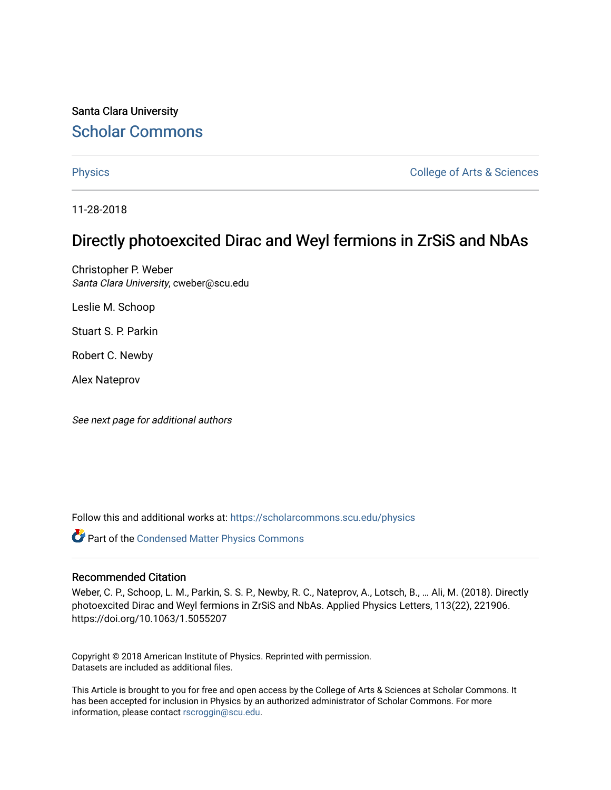Santa Clara University Scholar Commons

Physics **College of Arts & Sciences** 

11-28-2018

# Directly photoexcited Dirac and Weyl fermions in ZrSiS and NbAs

Christopher P. Weber Santa Clara University, cweber@scu.edu

Leslie M. Schoop

Stuart S. P. Parkin

Robert C. Newby

Alex Nateprov

See next page for additional authors

Follow this and additional works at: https://scholarcommons.scu.edu/physics

Part of the Condensed Matter Physics Commons

#### Recommended Citation

Weber, C. P., Schoop, L. M., Parkin, S. S. P., Newby, R. C., Nateprov, A., Lotsch, B., … Ali, M. (2018). Directly photoexcited Dirac and Weyl fermions in ZrSiS and NbAs. Applied Physics Letters, 113(22), 221906. https://doi.org/10.1063/1.5055207

Copyright © 2018 American Institute of Physics. Reprinted with permission. Datasets are included as additional files.

This Article is brought to you for free and open access by the College of Arts & Sciences at Scholar Commons. It has been accepted for inclusion in Physics by an authorized administrator of Scholar Commons. For more information, please contact rscroggin@scu.edu.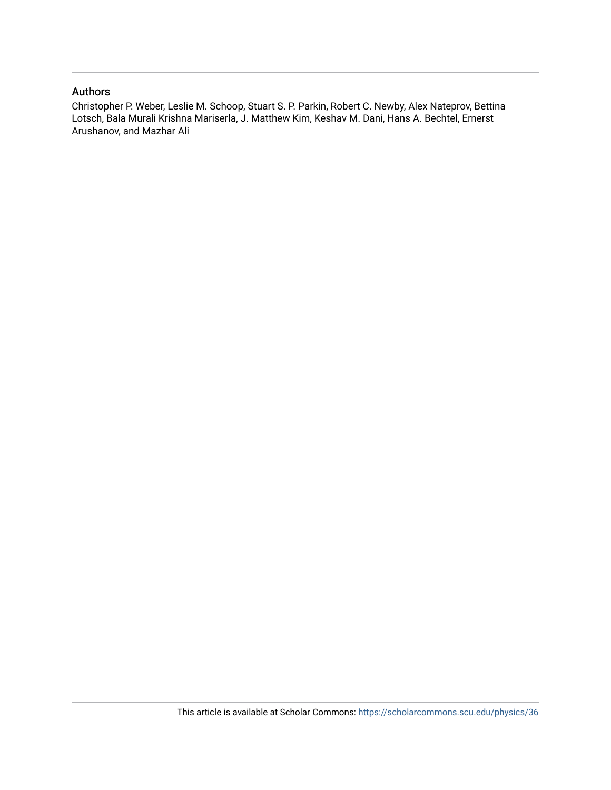## Authors

Christopher P. Weber, Leslie M. Schoop, Stuart S. P. Parkin, Robert C. Newby, Alex Nateprov, Bettina Lotsch, Bala Murali Krishna Mariserla, J. Matthew Kim, Keshav M. Dani, Hans A. Bechtel, Ernerst Arushanov, and Mazhar Ali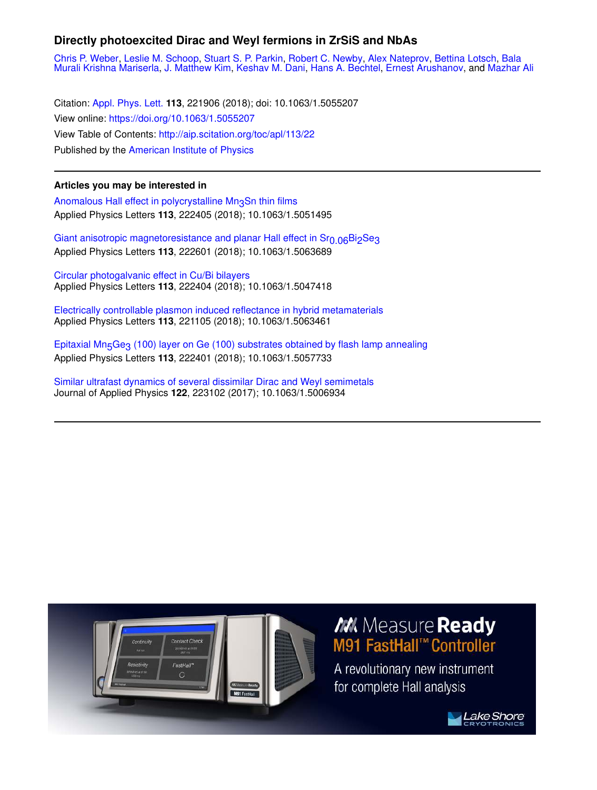# **Directly photoexcited Dirac and Weyl fermions in ZrSiS and NbAs**

Chris P. Weber, Leslie M. Schoop, Stuart S. P. Parkin, Robert C. Newby, Alex Nateprov, Bettina Lotsch, Bala Murali Krishna Mariserla, J. Matthew Kim, Keshav M. Dani, Hans A. Bechtel, Ernest Arushanov, and Mazhar Ali

Citation: Appl. Phys. Lett. **113**, 221906 (2018); doi: 10.1063/1.5055207 View online: https://doi.org/10.1063/1.5055207 View Table of Contents: http://aip.scitation.org/toc/apl/113/22 Published by the American Institute of Physics

## **Articles you may be interested in**

Anomalous Hall effect in polycrystalline Mn3Sn thin films Applied Physics Letters **113**, 222405 (2018); 10.1063/1.5051495

Giant anisotropic magnetoresistance and planar Hall effect in Sr<sub>0.06</sub>Bi<sub>2</sub>Se<sub>3</sub> Applied Physics Letters **113**, 222601 (2018); 10.1063/1.5063689

Circular photogalvanic effect in Cu/Bi bilayers Applied Physics Letters **113**, 222404 (2018); 10.1063/1.5047418

Electrically controllable plasmon induced reflectance in hybrid metamaterials Applied Physics Letters **113**, 221105 (2018); 10.1063/1.5063461

Epitaxial Mn<sub>5</sub>Ge<sub>3</sub> (100) layer on Ge (100) substrates obtained by flash lamp annealing Applied Physics Letters **113**, 222401 (2018); 10.1063/1.5057733

Similar ultrafast dynamics of several dissimilar Dirac and Weyl semimetals Journal of Applied Physics **122**, 223102 (2017); 10.1063/1.5006934



# M. Measure Ready M91 FastHall™ Controller

A revolutionary new instrument for complete Hall analysis

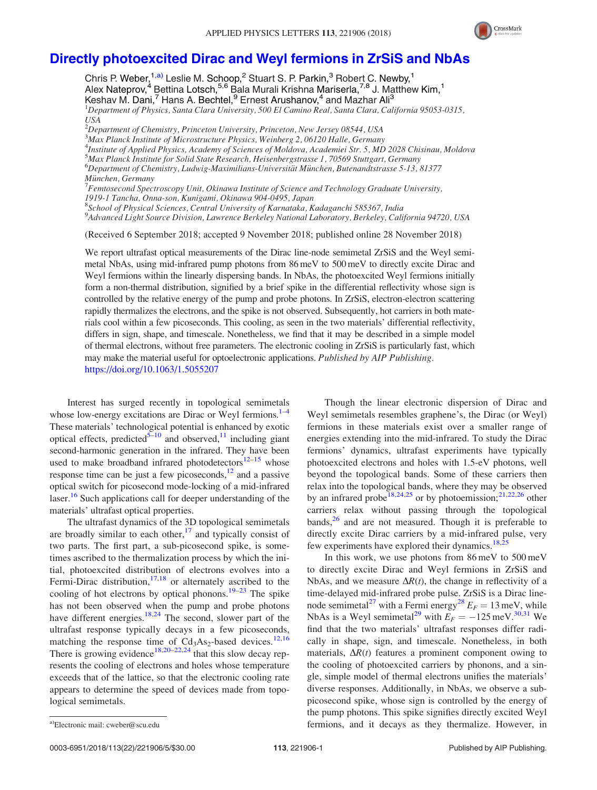

## Directly photoexcited Dirac and Weyl fermions in ZrSiS and NbAs

Chris P. Weber,<sup>1,a)</sup> Leslie M. Schoop,<sup>2</sup> Stuart S. P. Parkin,<sup>3</sup> Robert C. Newby,<sup>1</sup> Alex Nateprov,<sup>4</sup> Bettina Lotsch,<sup>5,6</sup> Bala Murali Krishna Mariserla,<sup>7,8</sup> J. Matthew Kim,<sup>1</sup> Keshav M. Dani,<sup>7</sup> Hans A. Bechtel,<sup>9</sup> Ernest Arushanov,<sup>4</sup> and Mazhar Ali<sup>3</sup> <sup>1</sup>Department of Physics, Santa Clara University, 500 El Camino Real, Santa Clara, California 95053-0315, USA  $^2$ Department of Chemistry, Princeton University, Princeton, New Jersey 08544, USA  $3$ Max Planck Institute of Microstructure Physics, Weinberg 2, 06120 Halle, Germany

<sup>4</sup>Institute of Applied Physics, Academy of Sciences of Moldova, Academiei Str. 5, MD 2028 Chisinau, Moldova <sup>5</sup>Max Planck Institute for Solid State Research, Heisenbergstrasse 1, 70569 Stuttgart, Germany  $^6$ Department of Chemistry, Ludwig-Maximilians-Universität München, Butenandtstrasse 5-13, 81377 München, Germany

 $^{7}$ Femtosecond Spectroscopy Unit, Okinawa Institute of Science and Technology Graduate University, 1919-1 Tancha, Onna-son, Kunigami, Okinawa 904-0495, Japan

<sup>8</sup>School of Physical Sciences, Central University of Karnataka, Kadaganchi 585367, India

9 Advanced Light Source Division, Lawrence Berkeley National Laboratory, Berkeley, California 94720, USA

(Received 6 September 2018; accepted 9 November 2018; published online 28 November 2018)

We report ultrafast optical measurements of the Dirac line-node semimetal ZrSiS and the Weyl semimetal NbAs, using mid-infrared pump photons from 86 meV to 500 meV to directly excite Dirac and Weyl fermions within the linearly dispersing bands. In NbAs, the photoexcited Weyl fermions initially form a non-thermal distribution, signified by a brief spike in the differential reflectivity whose sign is controlled by the relative energy of the pump and probe photons. In ZrSiS, electron-electron scattering rapidly thermalizes the electrons, and the spike is not observed. Subsequently, hot carriers in both materials cool within a few picoseconds. This cooling, as seen in the two materials' differential reflectivity, differs in sign, shape, and timescale. Nonetheless, we find that it may be described in a simple model of thermal electrons, without free parameters. The electronic cooling in ZrSiS is particularly fast, which may make the material useful for optoelectronic applications. Published by AIP Publishing. https://doi.org/10.1063/1.5055207

Interest has surged recently in topological semimetals whose low-energy excitations are Dirac or Weyl fermions. $1-4$ These materials' technological potential is enhanced by exotic optical effects, predicted<sup>5–10</sup> and observed,<sup>11</sup> including giant second-harmonic generation in the infrared. They have been used to make broadband infrared photodetectors $12-15$  whose response time can be just a few picoseconds, $^{12}$  and a passive optical switch for picosecond mode-locking of a mid-infrared laser.<sup>16</sup> Such applications call for deeper understanding of the materials' ultrafast optical properties.

The ultrafast dynamics of the 3D topological semimetals are broadly similar to each other, $17$  and typically consist of two parts. The first part, a sub-picosecond spike, is sometimes ascribed to the thermalization process by which the initial, photoexcited distribution of electrons evolves into a Fermi-Dirac distribution,<sup>17,18</sup> or alternately ascribed to the cooling of hot electrons by optical phonons.<sup>19–23</sup> The spike has not been observed when the pump and probe photons have different energies.<sup>18,24</sup> The second, slower part of the ultrafast response typically decays in a few picoseconds, matching the response time of  $Cd<sub>3</sub>As<sub>2</sub>$ -based devices.<sup>12,16</sup> There is growing evidence<sup>18,20–22,24</sup> that this slow decay represents the cooling of electrons and holes whose temperature exceeds that of the lattice, so that the electronic cooling rate appears to determine the speed of devices made from topological semimetals.

Though the linear electronic dispersion of Dirac and Weyl semimetals resembles graphene's, the Dirac (or Weyl) fermions in these materials exist over a smaller range of energies extending into the mid-infrared. To study the Dirac fermions' dynamics, ultrafast experiments have typically photoexcited electrons and holes with 1.5-eV photons, well beyond the topological bands. Some of these carriers then relax into the topological bands, where they may be observed by an infrared probe<sup>18,24,25</sup> or by photoemission;<sup>21,22,26</sup> other carriers relax without passing through the topological bands, $2<sup>6</sup>$  and are not measured. Though it is preferable to directly excite Dirac carriers by a mid-infrared pulse, very few experiments have explored their dynamics.<sup>18,25</sup>

In this work, we use photons from 86 meV to 500 meV to directly excite Dirac and Weyl fermions in ZrSiS and NbAs, and we measure  $\Delta R(t)$ , the change in reflectivity of a time-delayed mid-infrared probe pulse. ZrSiS is a Dirac linenode semimetal<sup>27</sup> with a Fermi energy<sup>28</sup>  $E_F = 13$  meV, while NbAs is a Weyl semimetal<sup>29</sup> with  $E_F = -125 \text{ meV}^{30,31}$  We find that the two materials' ultrafast responses differ radically in shape, sign, and timescale. Nonetheless, in both materials,  $\Delta R(t)$  features a prominent component owing to the cooling of photoexcited carriers by phonons, and a single, simple model of thermal electrons unifies the materials' diverse responses. Additionally, in NbAs, we observe a subpicosecond spike, whose sign is controlled by the energy of the pump photons. This spike signifies directly excited Weyl a)Electronic mail: cweber@scu.edu entries are the second of the fermions, and it decays as they thermalize. However, in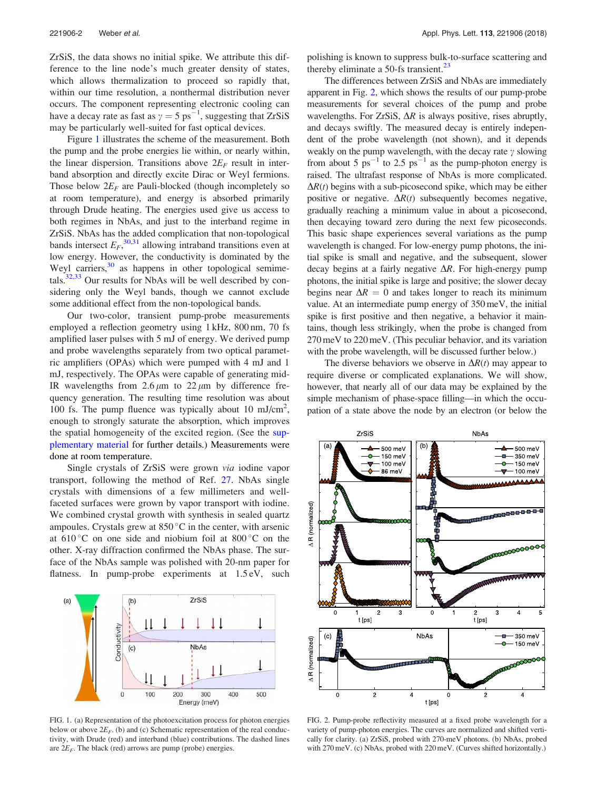ZrSiS, the data shows no initial spike. We attribute this difference to the line node's much greater density of states, which allows thermalization to proceed so rapidly that, within our time resolution, a nonthermal distribution never occurs. The component representing electronic cooling can have a decay rate as fast as  $\gamma = 5 \text{ ps}^{-1}$ , suggesting that ZrSiS may be particularly well-suited for fast optical devices.

Figure 1 illustrates the scheme of the measurement. Both the pump and the probe energies lie within, or nearly within, the linear dispersion. Transitions above  $2E_F$  result in interband absorption and directly excite Dirac or Weyl fermions. Those below  $2E_F$  are Pauli-blocked (though incompletely so at room temperature), and energy is absorbed primarily through Drude heating. The energies used give us access to both regimes in NbAs, and just to the interband regime in ZrSiS. NbAs has the added complication that non-topological bands intersect  $E_F$ ,  $30,31$  allowing intraband transitions even at low energy. However, the conductivity is dominated by the Weyl carriers, $30$  as happens in other topological semimetals. $32,33$  Our results for NbAs will be well described by considering only the Weyl bands, though we cannot exclude some additional effect from the non-topological bands.

Our two-color, transient pump-probe measurements employed a reflection geometry using 1 kHz, 800 nm, 70 fs amplified laser pulses with 5 mJ of energy. We derived pump and probe wavelengths separately from two optical parametric amplifiers (OPAs) which were pumped with 4 mJ and 1 mJ, respectively. The OPAs were capable of generating mid-IR wavelengths from  $2.6 \mu m$  to  $22 \mu m$  by difference frequency generation. The resulting time resolution was about 100 fs. The pump fluence was typically about 10 mJ/cm<sup>2</sup>, enough to strongly saturate the absorption, which improves the spatial homogeneity of the excited region. (See the supplementary material for further details.) Measurements were done at room temperature.

Single crystals of ZrSiS were grown via iodine vapor transport, following the method of Ref. 27. NbAs single crystals with dimensions of a few millimeters and wellfaceted surfaces were grown by vapor transport with iodine. We combined crystal growth with synthesis in sealed quartz ampoules. Crystals grew at  $850^{\circ}$ C in the center, with arsenic at  $610^{\circ}$ C on one side and niobium foil at  $800^{\circ}$ C on the other. X-ray diffraction confirmed the NbAs phase. The surface of the NbAs sample was polished with 20-nm paper for flatness. In pump-probe experiments at 1.5 eV, such



FIG. 1. (a) Representation of the photoexcitation process for photon energies below or above  $2E_F$ . (b) and (c) Schematic representation of the real conductivity, with Drude (red) and interband (blue) contributions. The dashed lines are  $2E_F$ . The black (red) arrows are pump (probe) energies.

polishing is known to suppress bulk-to-surface scattering and thereby eliminate a 50-fs transient.<sup>23</sup>

The differences between ZrSiS and NbAs are immediately apparent in Fig. 2, which shows the results of our pump-probe measurements for several choices of the pump and probe wavelengths. For ZrSiS,  $\Delta R$  is always positive, rises abruptly, and decays swiftly. The measured decay is entirely independent of the probe wavelength (not shown), and it depends weakly on the pump wavelength, with the decay rate  $\gamma$  slowing from about 5  $ps^{-1}$  to 2.5  $ps^{-1}$  as the pump-photon energy is raised. The ultrafast response of NbAs is more complicated.  $\Delta R(t)$  begins with a sub-picosecond spike, which may be either positive or negative.  $\Delta R(t)$  subsequently becomes negative, gradually reaching a minimum value in about a picosecond, then decaying toward zero during the next few picoseconds. This basic shape experiences several variations as the pump wavelength is changed. For low-energy pump photons, the initial spike is small and negative, and the subsequent, slower decay begins at a fairly negative  $\Delta R$ . For high-energy pump photons, the initial spike is large and positive; the slower decay begins near  $\Delta R = 0$  and takes longer to reach its minimum value. At an intermediate pump energy of 350 meV, the initial spike is first positive and then negative, a behavior it maintains, though less strikingly, when the probe is changed from 270 meV to 220 meV. (This peculiar behavior, and its variation with the probe wavelength, will be discussed further below.)

The diverse behaviors we observe in  $\Delta R(t)$  may appear to require diverse or complicated explanations. We will show, however, that nearly all of our data may be explained by the simple mechanism of phase-space filling—in which the occupation of a state above the node by an electron (or below the



FIG. 2. Pump-probe reflectivity measured at a fixed probe wavelength for a variety of pump-photon energies. The curves are normalized and shifted vertically for clarity. (a) ZrSiS, probed with 270-meV photons. (b) NbAs, probed with 270 meV. (c) NbAs, probed with 220 meV. (Curves shifted horizontally.)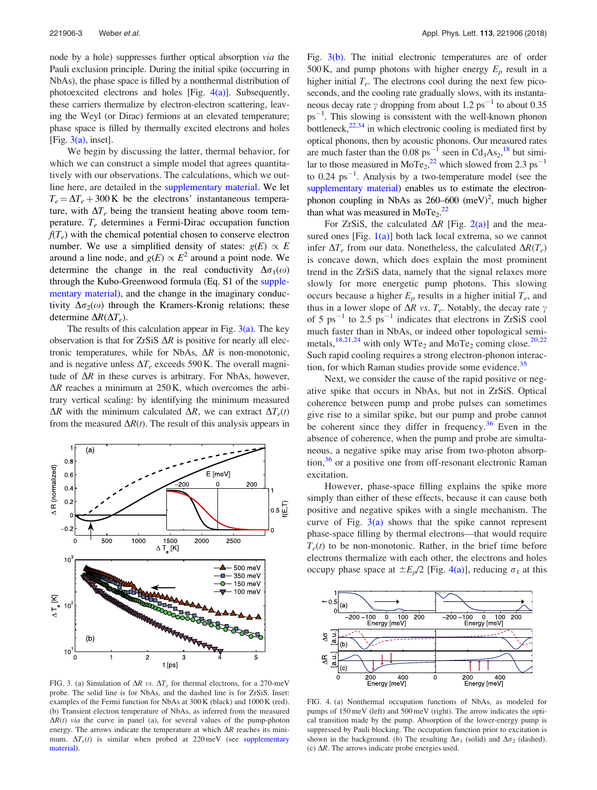node by a hole) suppresses further optical absorption via the Pauli exclusion principle. During the initial spike (occurring in NbAs), the phase space is filled by a nonthermal distribution of photoexcited electrons and holes [Fig. 4(a)]. Subsequently, these carriers thermalize by electron-electron scattering, leaving the Weyl (or Dirac) fermions at an elevated temperature; phase space is filled by thermally excited electrons and holes [Fig.  $3(a)$ , inset].

We begin by discussing the latter, thermal behavior, for which we can construct a simple model that agrees quantitatively with our observations. The calculations, which we outline here, are detailed in the supplementary material. We let  $T_e = \Delta T_e + 300 \text{ K}$  be the electrons' instantaneous temperature, with  $\Delta T_e$  being the transient heating above room temperature.  $T_e$  determines a Fermi-Dirac occupation function  $f(T_e)$  with the chemical potential chosen to conserve electron number. We use a simplified density of states:  $g(E) \propto E$ around a line node, and  $g(E) \propto E^2$  around a point node. We determine the change in the real conductivity  $\Delta \sigma_1(\omega)$ through the Kubo-Greenwood formula (Eq. S1 of the supplementary material), and the change in the imaginary conductivity  $\Delta \sigma_2(\omega)$  through the Kramers-Kronig relations; these determine  $\Delta R(\Delta T_e)$ .

The results of this calculation appear in Fig.  $3(a)$ . The key observation is that for ZrSiS  $\Delta R$  is positive for nearly all electronic temperatures, while for NbAs,  $\Delta R$  is non-monotonic, and is negative unless  $\Delta T_e$  exceeds 590 K. The overall magnitude of  $\Delta R$  in these curves is arbitrary. For NbAs, however,  $\Delta R$  reaches a minimum at 250 K, which overcomes the arbitrary vertical scaling: by identifying the minimum measured  $\Delta R$  with the minimum calculated  $\Delta R$ , we can extract  $\Delta T_e(t)$ from the measured  $\Delta R(t)$ . The result of this analysis appears in



FIG. 3. (a) Simulation of  $\Delta R$  vs.  $\Delta T_e$  for thermal electrons, for a 270-meV probe. The solid line is for NbAs, and the dashed line is for ZrSiS. Inset: examples of the Fermi function for NbAs at 300 K (black) and 1000 K (red). (b) Transient electron temperature of NbAs, as inferred from the measured  $\Delta R(t)$  via the curve in panel (a), for several values of the pump-photon energy. The arrows indicate the temperature at which  $\Delta R$  reaches its minimum.  $\Delta T_e(t)$  is similar when probed at 220 meV (see supplementary material).

Fig. 3(b). The initial electronic temperatures are of order 500 K, and pump photons with higher energy  $E_p$  result in a higher initial  $T_e$ . The electrons cool during the next few picoseconds, and the cooling rate gradually slows, with its instantaneous decay rate  $\gamma$  dropping from about 1.2 ps<sup>-1</sup> to about 0.35 ps<sup>-1</sup>. This slowing is consistent with the well-known phonon bottleneck,  $22,34$  in which electronic cooling is mediated first by optical phonons, then by acoustic phonons. Our measured rates are much faster than the  $0.08 \text{ ps}^{-1}$  seen in  $\text{Cd}_3\text{As}_2$ ,<sup>18</sup> but similar to those measured in  $MoTe<sub>2</sub>,<sup>22</sup>$  which slowed from 2.3 ps<sup>-1</sup> to 0.24  $ps^{-1}$ . Analysis by a two-temperature model (see the supplementary material) enables us to estimate the electronphonon coupling in NbAs as  $260-600$  (meV)<sup>2</sup>, much higher than what was measured in  $MoTe<sub>2</sub>.<sup>22</sup>$ 

For ZrSiS, the calculated  $\Delta R$  [Fig. 2(a)] and the measured ones [Fig. 1(a)] both lack local extrema, so we cannot infer  $\Delta T_e$  from our data. Nonetheless, the calculated  $\Delta R(T_e)$ is concave down, which does explain the most prominent trend in the ZrSiS data, namely that the signal relaxes more slowly for more energetic pump photons. This slowing occurs because a higher  $E_p$  results in a higher initial  $T_e$ , and thus in a lower slope of  $\Delta R$  vs.  $T_e$ . Notably, the decay rate  $\gamma$ of 5  $\text{ps}^{-1}$  to 2.5  $\text{ps}^{-1}$  indicates that electrons in ZrSiS cool much faster than in NbAs, or indeed other topological semimetals,<sup>18,21,24</sup> with only WTe<sub>2</sub> and MoTe<sub>2</sub> coming close.<sup>20,22</sup> Such rapid cooling requires a strong electron-phonon interaction, for which Raman studies provide some evidence.<sup>35</sup>

Next, we consider the cause of the rapid positive or negative spike that occurs in NbAs, but not in ZrSiS. Optical coherence between pump and probe pulses can sometimes give rise to a similar spike, but our pump and probe cannot be coherent since they differ in frequency.<sup>36</sup> Even in the absence of coherence, when the pump and probe are simultaneous, a negative spike may arise from two-photon absorption,<sup>36</sup> or a positive one from off-resonant electronic Raman excitation.

However, phase-space filling explains the spike more simply than either of these effects, because it can cause both positive and negative spikes with a single mechanism. The curve of Fig.  $3(a)$  shows that the spike cannot represent phase-space filling by thermal electrons—that would require  $T_e(t)$  to be non-monotonic. Rather, in the brief time before electrons thermalize with each other, the electrons and holes occupy phase space at  $\pm E_p/2$  [Fig. 4(a)], reducing  $\sigma_1$  at this



FIG. 4. (a) Nonthermal occupation functions of NbAs, as modeled for pumps of 150 meV (left) and 500 meV (right). The arrow indicates the optical transition made by the pump. Absorption of the lower-energy pump is suppressed by Pauli blocking. The occupation function prior to excitation is shown in the background. (b) The resulting  $\Delta \sigma_1$  (solid) and  $\Delta \sigma_2$  (dashed). (c)  $\Delta R$ . The arrows indicate probe energies used.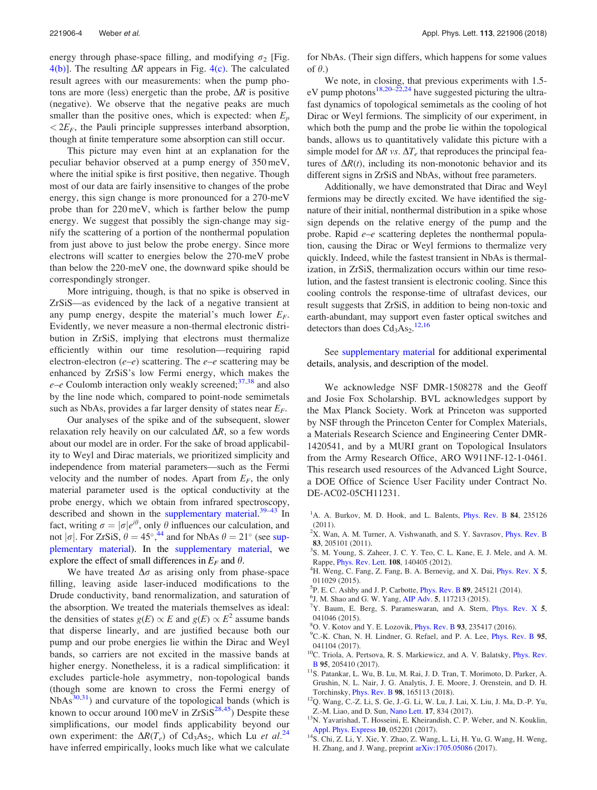energy through phase-space filling, and modifying  $\sigma_2$  [Fig.  $4(b)$ ]. The resulting  $\Delta R$  appears in Fig. 4(c). The calculated result agrees with our measurements: when the pump photons are more (less) energetic than the probe,  $\Delta R$  is positive (negative). We observe that the negative peaks are much smaller than the positive ones, which is expected: when  $E_p$  $\langle 2E_F$ , the Pauli principle suppresses interband absorption, though at finite temperature some absorption can still occur.

This picture may even hint at an explanation for the peculiar behavior observed at a pump energy of 350 meV, where the initial spike is first positive, then negative. Though most of our data are fairly insensitive to changes of the probe energy, this sign change is more pronounced for a 270-meV probe than for 220 meV, which is farther below the pump energy. We suggest that possibly the sign-change may signify the scattering of a portion of the nonthermal population from just above to just below the probe energy. Since more electrons will scatter to energies below the 270-meV probe than below the 220-meV one, the downward spike should be correspondingly stronger.

More intriguing, though, is that no spike is observed in ZrSiS—as evidenced by the lack of a negative transient at any pump energy, despite the material's much lower  $E_F$ . Evidently, we never measure a non-thermal electronic distribution in ZrSiS, implying that electrons must thermalize efficiently within our time resolution—requiring rapid electron-electron  $(e-e)$  scattering. The  $e-e$  scattering may be enhanced by ZrSiS's low Fermi energy, which makes the  $e$ – $e$  Coulomb interaction only weakly screened;<sup>37,38</sup> and also by the line node which, compared to point-node semimetals such as NbAs, provides a far larger density of states near  $E_F$ .

Our analyses of the spike and of the subsequent, slower relaxation rely heavily on our calculated  $\Delta R$ , so a few words about our model are in order. For the sake of broad applicability to Weyl and Dirac materials, we prioritized simplicity and independence from material parameters—such as the Fermi velocity and the number of nodes. Apart from  $E_F$ , the only material parameter used is the optical conductivity at the probe energy, which we obtain from infrared spectroscopy, described and shown in the supplementary material.<sup>39-43</sup> In fact, writing  $\sigma = |\sigma|e^{i\theta}$ , only  $\theta$  influences our calculation, and not  $|\sigma|$ . For ZrSiS,  $\theta = 45^{\circ}$ ,  $\frac{44}{4}$  and for NbAs  $\theta = 21^{\circ}$  (see supplementary material). In the supplementary material, we explore the effect of small differences in  $E_F$  and  $\theta$ .

We have treated  $\Delta\sigma$  as arising only from phase-space filling, leaving aside laser-induced modifications to the Drude conductivity, band renormalization, and saturation of the absorption. We treated the materials themselves as ideal: the densities of states  $g(E) \propto E$  and  $g(E) \propto E^2$  assume bands that disperse linearly, and are justified because both our pump and our probe energies lie within the Dirac and Weyl bands, so carriers are not excited in the massive bands at higher energy. Nonetheless, it is a radical simplification: it excludes particle-hole asymmetry, non-topological bands (though some are known to cross the Fermi energy of  $NbAs<sup>30,31</sup>$ ) and curvature of the topological bands (which is known to occur around 100 meV in  $ZrSiS^{28,45}$ ) Despite these simplifications, our model finds applicability beyond our own experiment: the  $\Delta R(T_e)$  of Cd<sub>3</sub>As<sub>2</sub>, which Lu *et al.*<sup>24</sup> have inferred empirically, looks much like what we calculate for NbAs. (Their sign differs, which happens for some values of  $\theta$ .)

We note, in closing, that previous experiments with 1.5 eV pump photons<sup>18,20–22,24</sup> have suggested picturing the ultrafast dynamics of topological semimetals as the cooling of hot Dirac or Weyl fermions. The simplicity of our experiment, in which both the pump and the probe lie within the topological bands, allows us to quantitatively validate this picture with a simple model for  $\Delta R$  vs.  $\Delta T_e$  that reproduces the principal features of  $\Delta R(t)$ , including its non-monotonic behavior and its different signs in ZrSiS and NbAs, without free parameters.

Additionally, we have demonstrated that Dirac and Weyl fermions may be directly excited. We have identified the signature of their initial, nonthermal distribution in a spike whose sign depends on the relative energy of the pump and the probe. Rapid  $e-e$  scattering depletes the nonthermal population, causing the Dirac or Weyl fermions to thermalize very quickly. Indeed, while the fastest transient in NbAs is thermalization, in ZrSiS, thermalization occurs within our time resolution, and the fastest transient is electronic cooling. Since this cooling controls the response-time of ultrafast devices, our result suggests that ZrSiS, in addition to being non-toxic and earth-abundant, may support even faster optical switches and detectors than does  $Cd<sub>3</sub>As<sub>2</sub>$ .<sup>12,16</sup>

See supplementary material for additional experimental details, analysis, and description of the model.

We acknowledge NSF DMR-1508278 and the Geoff and Josie Fox Scholarship. BVL acknowledges support by the Max Planck Society. Work at Princeton was supported by NSF through the Princeton Center for Complex Materials, a Materials Research Science and Engineering Center DMR-1420541, and by a MURI grant on Topological Insulators from the Army Research Office, ARO W911NF-12-1-0461. This research used resources of the Advanced Light Source, a DOE Office of Science User Facility under Contract No. DE-AC02-05CH11231.

- <sup>1</sup>A. A. Burkov, M. D. Hook, and L. Balents, *Phys. Rev. B* **84**, 235126 (2011).
- $2X$ . Wan, A. M. Turner, A. Vishwanath, and S. Y. Savrasov, *Phys. Rev. B* 83, 205101 (2011).
- 3 S. M. Young, S. Zaheer, J. C. Y. Teo, C. L. Kane, E. J. Mele, and A. M. Rappe, Phys. Rev. Lett. 108, 140405 (2012).
- <sup>4</sup>H. Weng, C. Fang, Z. Fang, B. A. Bernevig, and X. Dai, *Phys. Rev. X* 5, 011029 (2015).
- 5 P. E. C. Ashby and J. P. Carbotte, Phys. Rev. B 89, 245121 (2014).
- 6 J. M. Shao and G. W. Yang, AIP Adv. 5, 117213 (2015).
- $7Y$ . Baum, E. Berg, S. Parameswaran, and A. Stern, Phys. Rev. X 5, 041046 (2015).
- <sup>8</sup>O. V. Kotov and Y. E. Lozovik, *Phys. Rev. B* 93, 235417 (2016).
- <sup>9</sup>C.-K. Chan, N. H. Lindner, G. Refael, and P. A. Lee, *Phys. Rev. B* 95, 041104 (2017).
- <sup>10</sup>C. Triola, A. Pertsova, R. S. Markiewicz, and A. V. Balatsky, *Phys. Rev.* B 95, 205410 (2017).
- <sup>11</sup>S. Patankar, L. Wu, B. Lu, M. Rai, J. D. Tran, T. Morimoto, D. Parker, A. Grushin, N. L. Nair, J. G. Analytis, J. E. Moore, J. Orenstein, and D. H. Torchinsky, Phys. Rev. B 98, 165113 (2018).
- <sup>12</sup>Q. Wang, C.-Z. Li, S. Ge, J.-G. Li, W. Lu, J. Lai, X. Liu, J. Ma, D.-P. Yu, Z.-M. Liao, and D. Sun, Nano Lett. 17, 834 (2017).
- <sup>13</sup>N. Yavarishad, T. Hosseini, E. Kheirandish, C. P. Weber, and N. Kouklin, Appl. Phys. Express 10, 052201 (2017).
- <sup>14</sup>S. Chi, Z. Li, Y. Xie, Y. Zhao, Z. Wang, L. Li, H. Yu, G. Wang, H. Weng, H. Zhang, and J. Wang, preprint arXiv:1705.05086 (2017).